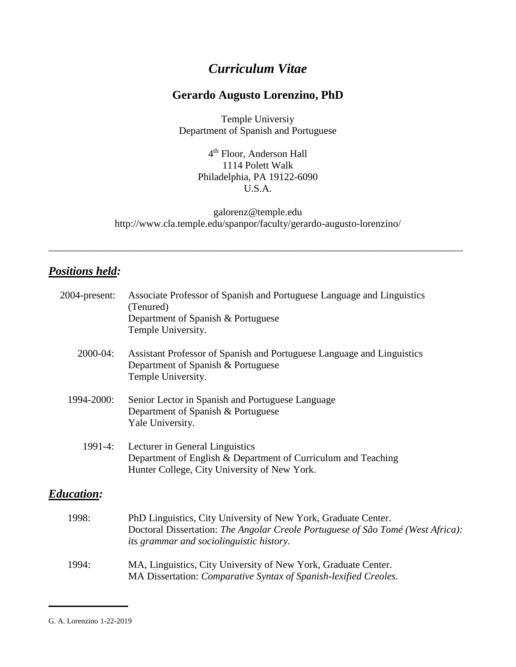# *Curriculum Vitae*

# **Gerardo Augusto Lorenzino, PhD**

Temple Universiy Department of Spanish and Portuguese

> 4<sup>th</sup> Floor, Anderson Hall 1114 Polett Walk Philadelphia, PA 19122-6090 U.S.A.

[galorenz@temple.edu](mailto:galorenz@temple.edu) http://www.cla.temple.edu/spanpor/faculty/gerardo-augusto-lorenzino/

\_\_\_\_\_\_\_\_\_\_\_\_\_\_\_\_\_\_\_\_\_\_\_\_\_\_\_\_\_\_\_\_\_\_\_\_\_\_\_\_\_\_\_\_\_\_\_\_\_\_\_\_\_\_\_\_\_\_\_\_\_\_\_\_\_\_\_\_\_\_\_\_\_\_\_\_\_\_\_\_\_\_

# *Positions held:*

| 2004-present:     | Associate Professor of Spanish and Portuguese Language and Linguistics<br>(Tenured)<br>Department of Spanish & Portuguese<br>Temple University.                                                      |
|-------------------|------------------------------------------------------------------------------------------------------------------------------------------------------------------------------------------------------|
| 2000-04:          | Assistant Professor of Spanish and Portuguese Language and Linguistics<br>Department of Spanish & Portuguese<br>Temple University.                                                                   |
| 1994-2000:        | Senior Lector in Spanish and Portuguese Language<br>Department of Spanish & Portuguese<br>Yale University.                                                                                           |
| 1991-4:           | Lecturer in General Linguistics<br>Department of English & Department of Curriculum and Teaching<br>Hunter College, City University of New York.                                                     |
| <b>Education:</b> |                                                                                                                                                                                                      |
| 1998:             | PhD Linguistics, City University of New York, Graduate Center.<br>Doctoral Dissertation: The Angolar Creole Portuguese of São Tomé (West Africa):<br><i>its grammar and sociolinguistic history.</i> |
| 1994:             | MA, Linguistics, City University of New York, Graduate Center.<br>MA Dissertation: Comparative Syntax of Spanish-lexified Creoles.                                                                   |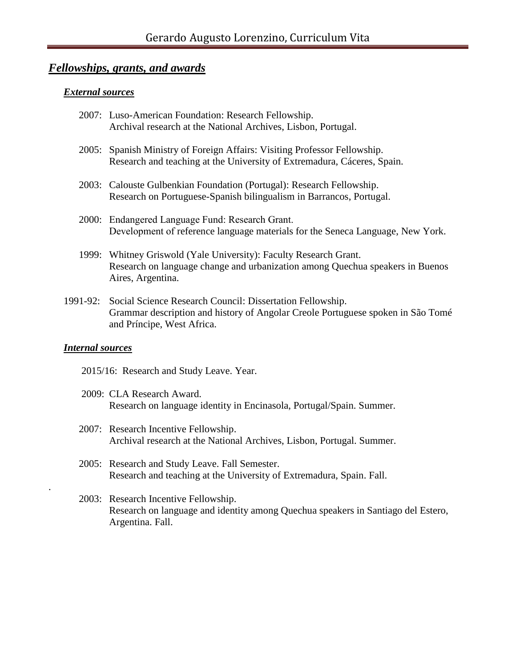# *Fellowships, grants, and awards*

#### *External sources*

- 2007: Luso-American Foundation: Research Fellowship. Archival research at the National Archives, Lisbon, Portugal.
- 2005: Spanish Ministry of Foreign Affairs: Visiting Professor Fellowship. Research and teaching at the University of Extremadura, Cáceres, Spain.
- 2003: Calouste Gulbenkian Foundation (Portugal): Research Fellowship. Research on Portuguese-Spanish bilingualism in Barrancos, Portugal.
- 2000: Endangered Language Fund: Research Grant. Development of reference language materials for the Seneca Language, New York.
- 1999: Whitney Griswold (Yale University): Faculty Research Grant. Research on language change and urbanization among Quechua speakers in Buenos Aires, Argentina.
- 1991-92: Social Science Research Council: Dissertation Fellowship. Grammar description and history of Angolar Creole Portuguese spoken in São Tomé and Príncipe, West Africa.

#### *Internal sources*

.

- 2015/16: Research and Study Leave. Year.
- 2009: CLA Research Award. Research on language identity in Encinasola, Portugal/Spain. Summer.
- 2007: Research Incentive Fellowship. Archival research at the National Archives, Lisbon, Portugal. Summer.
- 2005: Research and Study Leave. Fall Semester. Research and teaching at the University of Extremadura, Spain. Fall.
- 2003: Research Incentive Fellowship. Research on language and identity among Quechua speakers in Santiago del Estero, Argentina. Fall.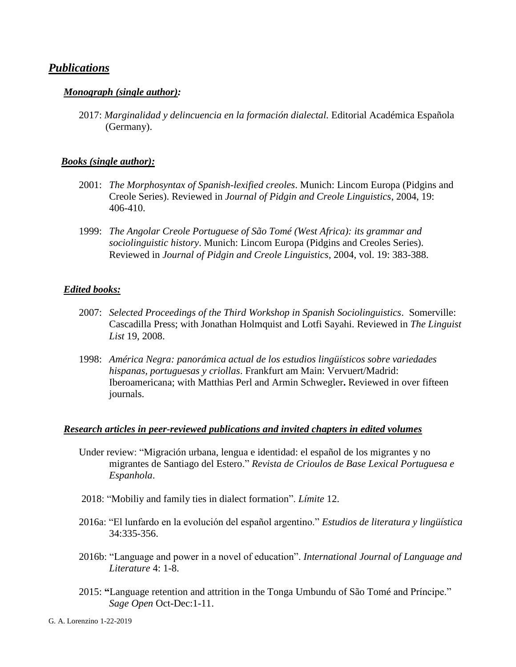### *Publications*

#### *Monograph (single author):*

2017: *Marginalidad y delincuencia en la formación dialectal.* Editorial Académica Española (Germany).

#### *Books (single author):*

- 2001: *The Morphosyntax of Spanish-lexified creoles*. Munich: Lincom Europa (Pidgins and Creole Series). Reviewed in *Journal of Pidgin and Creole Linguistics*, 2004, 19: 406-410.
- 1999: *The Angolar Creole Portuguese of São Tomé (West Africa): its grammar and sociolinguistic history*. Munich: Lincom Europa (Pidgins and Creoles Series). Reviewed in *Journal of Pidgin and Creole Linguistics*, 2004, vol. 19: 383-388.

#### *Edited books:*

- 2007: *Selected Proceedings of the Third Workshop in Spanish Sociolinguistics*. Somerville: Cascadilla Press; with Jonathan Holmquist and Lotfi Sayahi. Reviewed in *The Linguist List* 19, 2008.
- 1998: *América Negra: panorámica actual de los estudios lingüísticos sobre variedades hispanas, portuguesas y criollas*. Frankfurt am Main: Vervuert/Madrid: Iberoamericana; with Matthias Perl and Armin Schwegler**.** Reviewed in over fifteen journals.

#### *Research articles in peer-reviewed publications and invited chapters in edited volumes*

- Under review: "Migración urbana, lengua e identidad: el español de los migrantes y no migrantes de Santiago del Estero." *Revista de Crioulos de Base Lexical Portuguesa e Espanhola*.
- 2018: "Mobiliy and family ties in dialect formation". *Límite* 12.
- 2016a: "El lunfardo en la evolución del español argentino." *Estudios de literatura y lingüística* 34:335-356.
- 2016b: "Language and power in a novel of education". *International Journal of Language and Literature* 4: 1-8.
- 2015: **"**Language retention and attrition in the Tonga Umbundu of São Tomé and Príncipe." *Sage Open* Oct-Dec:1-11.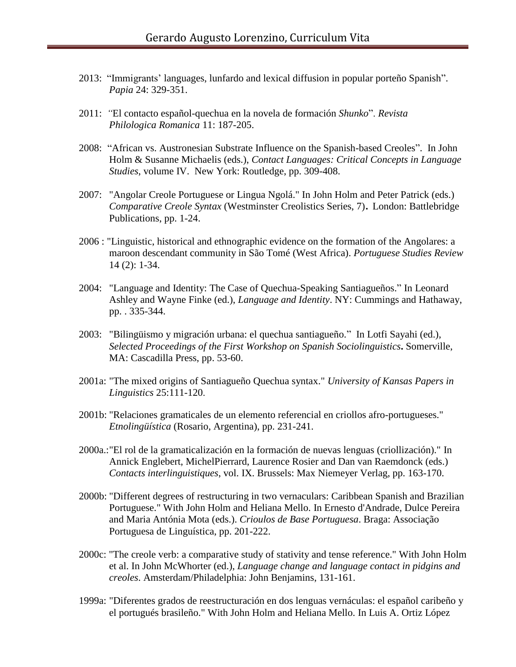- 2013: "Immigrants' languages, lunfardo and lexical diffusion in popular porteño Spanish". *Papia* 24: 329-351.
- 2011: *"*El contacto español-quechua en la novela de formación *Shunko*". *Revista Philologica Romanica* 11: 187-205.
- 2008: "African vs. Austronesian Substrate Influence on the Spanish-based Creoles". In John Holm & Susanne Michaelis (eds.), *Contact Languages: Critical Concepts in Language Studies*, volume IV. New York: Routledge, pp. 309-408.
- 2007: "Angolar Creole Portuguese or Lingua Ngolá." In John Holm and Peter Patrick (eds.) *Comparative Creole Syntax* (Westminster Creolistics Series, 7). London: Battlebridge Publications, pp. 1-24.
- 2006 : "Linguistic, historical and ethnographic evidence on the formation of the Angolares: a maroon descendant community in São Tomé (West Africa). *Portuguese Studies Review*  14 (2): 1-34.
- 2004: "Language and Identity: The Case of Quechua-Speaking Santiagueños." In Leonard Ashley and Wayne Finke (ed.), *Language and Identity*. NY: Cummings and Hathaway, pp. . 335-344.
- 2003: "Bilingüismo y migración urbana: el quechua santiagueño." In Lotfi Sayahi (ed.), *Selected Proceedings of the First Workshop on Spanish Sociolinguistics***.** Somerville, MA: Cascadilla Press, pp. 53-60.
- 2001a: "The mixed origins of Santiagueño Quechua syntax." *University of Kansas Papers in Linguistics* 25:111-120.
- 2001b: "Relaciones gramaticales de un elemento referencial en criollos afro-portugueses." *Etnolingüística* (Rosario, Argentina), pp. 231-241.
- 2000a.:"El rol de la gramaticalización en la formación de nuevas lenguas (criollización)." In Annick Englebert, MichelPierrard, Laurence Rosier and Dan van Raemdonck (eds.) *Contacts interlinguistiques*, vol. IX. Brussels: Max Niemeyer Verlag, pp. 163-170.
- 2000b: "Different degrees of restructuring in two vernaculars: Caribbean Spanish and Brazilian Portuguese." With John Holm and Heliana Mello. In Ernesto d'Andrade, Dulce Pereira and Maria Antónia Mota (eds.). *Crioulos de Base Portuguesa*. Braga: Associação Portuguesa de Linguística, pp. 201-222.
- 2000c: "The creole verb: a comparative study of stativity and tense reference." With John Holm et al. In John McWhorter (ed.), *Language change and language contact in pidgins and creoles*. Amsterdam/Philadelphia: John Benjamins, 131-161.
- 1999a: "Diferentes grados de reestructuración en dos lenguas vernáculas: el español caribeño y el portugués brasileño." With John Holm and Heliana Mello. In Luis A. Ortiz López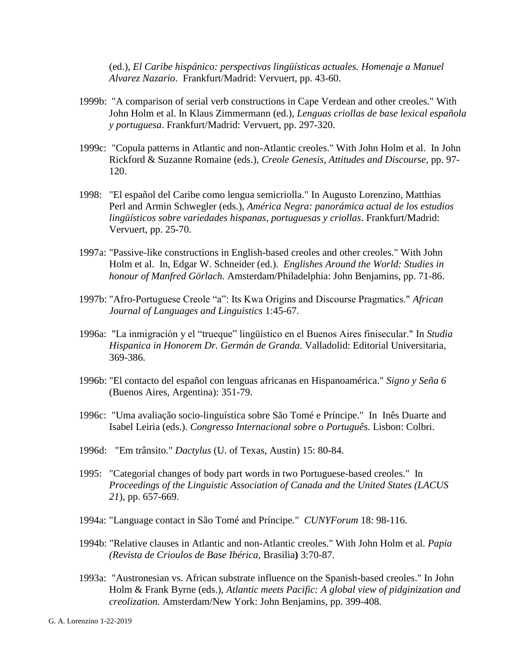(ed.), *El Caribe hispánico: perspectivas lingüísticas actuales. Homenaje a Manuel Alvarez Nazario*. Frankfurt/Madrid: Vervuert, pp. 43-60.

- 1999b: "A comparison of serial verb constructions in Cape Verdean and other creoles." With John Holm et al. In Klaus Zimmermann (ed.), *Lenguas criollas de base lexical española y portuguesa*. Frankfurt/Madrid: Vervuert, pp. 297-320.
- 1999c: "Copula patterns in Atlantic and non-Atlantic creoles." With John Holm et al. In John Rickford & Suzanne Romaine (eds.), *Creole Genesis, Attitudes and Discourse*, pp. 97- 120.
- 1998: "El español del Caribe como lengua semicriolla." In Augusto Lorenzino, Matthias Perl and Armin Schwegler (eds.), *América Negra: panorámica actual de los estudios lingüísticos sobre variedades hispanas, portuguesas y criollas*. Frankfurt/Madrid: Vervuert, pp. 25-70.
- 1997a: "Passive-like constructions in English-based creoles and other creoles." With John Holm et al. In, Edgar W. Schneider (ed.). *Englishes Around the World: Studies in honour of Manfred Görlach.* Amsterdam/Philadelphia: John Benjamins, pp. 71-86.
- 1997b: "Afro-Portuguese Creole "a": Its Kwa Origins and Discourse Pragmatics." *African Journal of Languages and Linguistics* 1:45-67.
- 1996a: "La inmigración y el "trueque" lingüístico en el Buenos Aires finisecular." In *Studia Hispanica in Honorem Dr. Germán de Granda*. Valladolid: Editorial Universitaria, 369-386.
- 1996b: "El contacto del español con lenguas africanas en Hispanoamérica." *Signo y Seña 6*  (Buenos Aires, Argentina): 351-79.
- 1996c: "Uma avaliação socio-linguística sobre São Tomé e Príncipe." In Inês Duarte and Isabel Leiria (eds.). *Congresso Internacional sobre o Português.* Lisbon: Colbri.
- 1996d: "Em trânsito." *Dactylus* (U. of Texas, Austin) 15: 80-84.
- 1995: "Categorial changes of body part words in two Portuguese-based creoles." In *Proceedings of the Linguistic Association of Canada and the United States (LACUS 21*), pp. 657-669.
- 1994a: "Language contact in São Tomé and Príncipe." *CUNYForum* 18: 98-116.
- 1994b: "Relative clauses in Atlantic and non-Atlantic creoles." With John Holm et al. *Papia (Revista de Crioulos de Base Ibérica,* Brasilia**)** 3:70-87.
- 1993a: "Austronesian vs. African substrate influence on the Spanish-based creoles." In John Holm & Frank Byrne (eds.), *Atlantic meets Pacific: A global view of pidginization and creolization.* Amsterdam/New York: John Benjamins, pp. 399-408.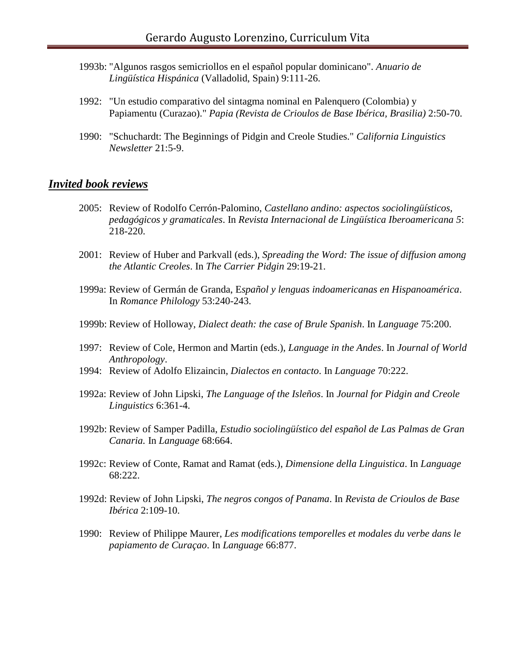- 1993b: "Algunos rasgos semicriollos en el español popular dominicano". *Anuario de Lingüística Hispánica* (Valladolid, Spain) 9:111-26.
- 1992: "Un estudio comparativo del sintagma nominal en Palenquero (Colombia) y Papiamentu (Curazao)." *Papia (Revista de Crioulos de Base Ibérica, Brasilia)* 2:50-70.
- 1990: "Schuchardt: The Beginnings of Pidgin and Creole Studies." *California Linguistics Newsletter* 21:5-9.

## *Invited book reviews*

- 2005: Review of Rodolfo Cerrón-Palomino, *Castellano andino: aspectos sociolingüísticos, pedagógicos y gramaticales*. In *Revista Internacional de Lingüística Iberoamericana 5*: 218-220.
- 2001: Review of Huber and Parkvall (eds.), *Spreading the Word: The issue of diffusion among the Atlantic Creoles*. In *The Carrier Pidgin* 29:19-21.
- 1999a: Review of Germán de Granda, E*spañol y lenguas indoamericanas en Hispanoamérica*. In *Romance Philology* 53:240-243.
- 1999b: Review of Holloway, *Dialect death: the case of Brule Spanish*. In *Language* 75:200.
- 1997: Review of Cole, Hermon and Martin (eds.), *Language in the Andes*. In *Journal of World Anthropology*.
- 1994: Review of Adolfo Elizaincin, *Dialectos en contacto*. In *Language* 70:222.
- 1992a: Review of John Lipski, *The Language of the Isleños*. In *Journal for Pidgin and Creole Linguistics* 6:361-4.
- 1992b: Review of Samper Padilla, *Estudio sociolingüístico del español de Las Palmas de Gran Canaria.* In *Language* 68:664.
- 1992c: Review of Conte, Ramat and Ramat (eds.), *Dimensione della Linguistica*. In *Language* 68:222.
- 1992d: Review of John Lipski, *The negros congos of Panama*. In *Revista de Crioulos de Base Ibérica* 2:109-10.
- 1990: Review of Philippe Maurer, *Les modifications temporelles et modales du verbe dans le papiamento de Curaçao*. In *Language* 66:877.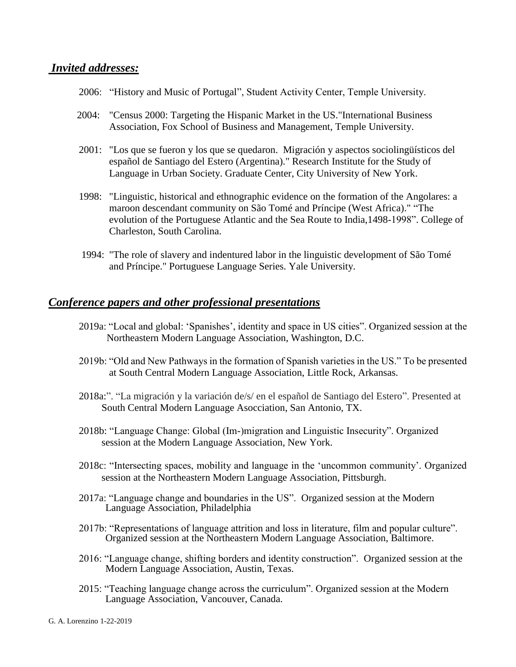### *Invited addresses:*

- 2006: "History and Music of Portugal", Student Activity Center, Temple University.
- 2004: "Census 2000: Targeting the Hispanic Market in the US."International Business Association, Fox School of Business and Management, Temple University.
- 2001: "Los que se fueron y los que se quedaron. Migración y aspectos sociolingüísticos del español de Santiago del Estero (Argentina)." Research Institute for the Study of Language in Urban Society. Graduate Center, City University of New York.
- 1998: "Linguistic, historical and ethnographic evidence on the formation of the Angolares: a maroon descendant community on São Tomé and Príncipe (West Africa)." "The evolution of the Portuguese Atlantic and the Sea Route to India,1498-1998". College of Charleston, South Carolina.
- 1994: "The role of slavery and indentured labor in the linguistic development of São Tomé and Príncipe." Portuguese Language Series. Yale University.

## *Conference papers and other professional presentations*

- 2019a: "Local and global: 'Spanishes', identity and space in US cities". Organized session at the Northeastern Modern Language Association, Washington, D.C.
- 2019b: "Old and New Pathways in the formation of Spanish varieties in the US." To be presented at South Central Modern Language Association, Little Rock, Arkansas.
- 2018a:". "La migración y la variación de/s/ en el español de Santiago del Estero". Presented at South Central Modern Language Asocciation, San Antonio, TX.
- 2018b: "Language Change: Global (Im-)migration and Linguistic Insecurity". Organized session at the Modern Language Association, New York.
- 2018c: "Intersecting spaces, mobility and language in the 'uncommon community'. Organized session at the Northeastern Modern Language Association, Pittsburgh.
- 2017a: "Language change and boundaries in the US". Organized session at the Modern Language Association, Philadelphia
- 2017b: "Representations of language attrition and loss in literature, film and popular culture". Organized session at the Northeastern Modern Language Association, Baltimore.
- 2016: "Language change, shifting borders and identity construction". Organized session at the Modern Language Association, Austin, Texas.
- 2015: "Teaching language change across the curriculum". Organized session at the Modern Language Association, Vancouver, Canada.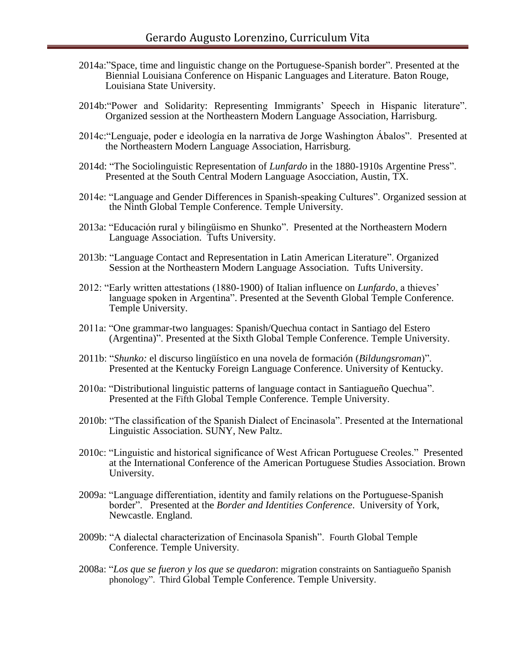- 2014a:"Space, time and linguistic change on the Portuguese-Spanish border". Presented at the Biennial Louisiana Conference on Hispanic Languages and Literature. Baton Rouge, Louisiana State University.
- 2014b:"Power and Solidarity: Representing Immigrants' Speech in Hispanic literature". Organized session at the Northeastern Modern Language Association, Harrisburg.
- 2014c:"Lenguaje, poder e ideología en la narrativa de Jorge Washington Ábalos". Presented at the Northeastern Modern Language Association, Harrisburg.
- 2014d: "The Sociolinguistic Representation of *Lunfardo* in the 1880-1910s Argentine Press". Presented at the South Central Modern Language Asocciation, Austin, TX.
- 2014e: "Language and Gender Differences in Spanish-speaking Cultures". Organized session at the Ninth Global Temple Conference. Temple University.
- 2013a: "Educación rural y bilingüismo en Shunko". Presented at the Northeastern Modern Language Association. Tufts University.
- 2013b: "Language Contact and Representation in Latin American Literature". Organized Session at the Northeastern Modern Language Association. Tufts University.
- 2012: "Early written attestations (1880-1900) of Italian influence on *Lunfardo*, a thieves' language spoken in Argentina". Presented at the Seventh Global Temple Conference. Temple University.
- 2011a: "One grammar-two languages: Spanish/Quechua contact in Santiago del Estero (Argentina)". Presented at the Sixth Global Temple Conference. Temple University.
- 2011b: "*Shunko:* el discurso lingüístico en una novela de formación (*Bildungsroman*)". Presented at the Kentucky Foreign Language Conference. University of Kentucky.
- 2010a: "Distributional linguistic patterns of language contact in Santiagueño Quechua". Presented at the Fifth Global Temple Conference. Temple University.
- 2010b: "The classification of the Spanish Dialect of Encinasola". Presented at the International Linguistic Association. SUNY, New Paltz.
- 2010c: "Linguistic and historical significance of West African Portuguese Creoles." Presented at the International Conference of the American Portuguese Studies Association. Brown University.
- 2009a: "Language differentiation, identity and family relations on the Portuguese-Spanish border". Presented at the *Border and Identities Conference*. University of York, Newcastle. England.
- 2009b: "A dialectal characterization of Encinasola Spanish". Fourth Global Temple Conference. Temple University.
- 2008a: "*Los que se fueron y los que se quedaron*: migration constraints on Santiagueño Spanish phonology". Third Global Temple Conference. Temple University.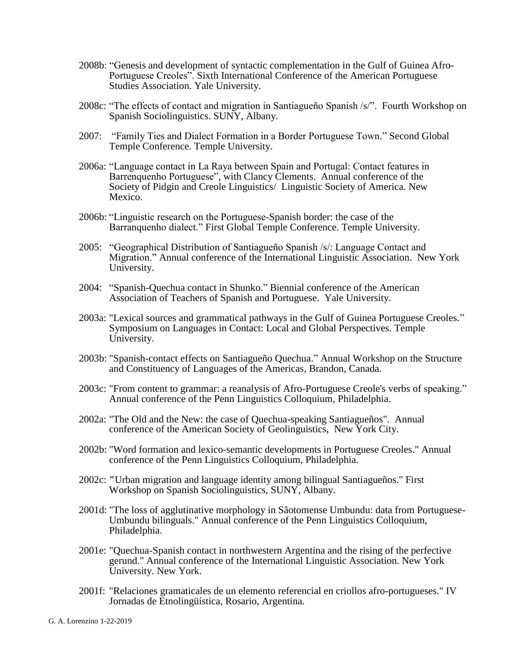- 2008b: "Genesis and development of syntactic complementation in the Gulf of Guinea Afro-Portuguese Creoles". Sixth International Conference of the American Portuguese Studies Association. Yale University.
- 2008c: "The effects of contact and migration in Santiagueño Spanish /s/". Fourth Workshop on Spanish Sociolinguistics. SUNY, Albany.
- 2007: "Family Ties and Dialect Formation in a Border Portuguese Town." Second Global Temple Conference. Temple University.
- 2006a: "Language contact in La Raya between Spain and Portugal: Contact features in Barrenquenho Portuguese", with Clancy Clements. Annual conference of the Society of Pidgin and Creole Linguistics/ Linguistic Society of America. New Mexico.
- 2006b: "Linguistic research on the Portuguese-Spanish border: the case of the Barranquenho dialect." First Global Temple Conference. Temple University.
- 2005: "Geographical Distribution of Santiagueño Spanish /s/: Language Contact and Migration." Annual conference of the International Linguistic Association. New York University.
- 2004: "Spanish-Quechua contact in Shunko." Biennial conference of the American Association of Teachers of Spanish and Portuguese. Yale University.
- 2003a: "Lexical sources and grammatical pathways in the Gulf of Guinea Portuguese Creoles." Symposium on Languages in Contact: Local and Global Perspectives. Temple University.
- 2003b: "Spanish-contact effects on Santiagueño Quechua." Annual Workshop on the Structure and Constituency of Languages of the Americas, Brandon, Canada.
- 2003c: "From content to grammar: a reanalysis of Afro-Portuguese Creole's verbs of speaking." Annual conference of the Penn Linguistics Colloquium, Philadelphia.
- 2002a: "The Old and the New: the case of Quechua-speaking Santiagueños". Annual conference of the American Society of Geolinguistics, New York City.
- 2002b: "Word formation and lexico-semantic developments in Portuguese Creoles." Annual conference of the Penn Linguistics Colloquium, Philadelphia.
- 2002c: **"**Urban migration and language identity among bilingual Santiagueños." First Workshop on Spanish Sociolinguistics, SUNY, Albany.
- 2001d: "The loss of agglutinative morphology in Sãotomense Umbundu: data from Portuguese-Umbundu bilinguals." Annual conference of the Penn Linguistics Colloquium, Philadelphia.
- 2001e: "Quechua-Spanish contact in northwestern Argentina and the rising of the perfective gerund." Annual conference of the International Linguistic Association. New York University. New York.
- 2001f: "Relaciones gramaticales de un elemento referencial en criollos afro-portugueses." IV Jornadas de Etnolingüística, Rosario, Argentina.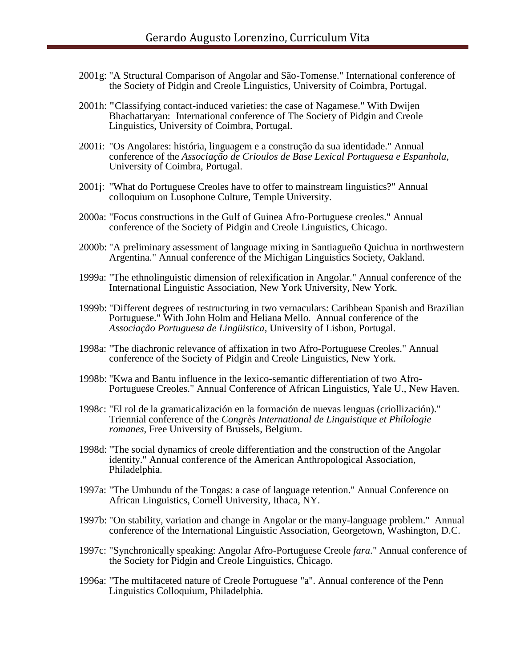- 2001g: "A Structural Comparison of Angolar and São-Tomense." International conference of the Society of Pidgin and Creole Linguistics, University of Coimbra, Portugal.
- 2001h: **"**Classifying contact-induced varieties: the case of Nagamese." With Dwijen Bhachattaryan: International conference of The Society of Pidgin and Creole Linguistics, University of Coimbra, Portugal.
- 2001i: "Os Angolares: história, linguagem e a construção da sua identidade." Annual conference of the *Associação de Crioulos de Base Lexical Portuguesa e Espanhola*, University of Coimbra, Portugal.
- 2001j: "What do Portuguese Creoles have to offer to mainstream linguistics?" Annual colloquium on Lusophone Culture, Temple University.
- 2000a: "Focus constructions in the Gulf of Guinea Afro-Portuguese creoles." Annual conference of the Society of Pidgin and Creole Linguistics, Chicago.
- 2000b: "A preliminary assessment of language mixing in Santiagueño Quichua in northwestern Argentina." Annual conference of the Michigan Linguistics Society, Oakland.
- 1999a: "The ethnolinguistic dimension of relexification in Angolar." Annual conference of the International Linguistic Association, New York University, New York.
- 1999b: "Different degrees of restructuring in two vernaculars: Caribbean Spanish and Brazilian Portuguese." With John Holm and Heliana Mello. Annual conference of the *Associação Portuguesa de Lingüistica*, University of Lisbon, Portugal.
- 1998a: "The diachronic relevance of affixation in two Afro-Portuguese Creoles." Annual conference of the Society of Pidgin and Creole Linguistics, New York.
- 1998b: "Kwa and Bantu influence in the lexico-semantic differentiation of two Afro-Portuguese Creoles." Annual Conference of African Linguistics, Yale U., New Haven.
- 1998c: "El rol de la gramaticalización en la formación de nuevas lenguas (criollización)." Triennial conference of the *Congrès International de Linguistique et Philologie romanes*, Free University of Brussels, Belgium.
- 1998d: "The social dynamics of creole differentiation and the construction of the Angolar identity." Annual conference of the American Anthropological Association, Philadelphia.
- 1997a: "The Umbundu of the Tongas: a case of language retention." Annual Conference on African Linguistics, Cornell University, Ithaca, NY.
- 1997b: "On stability, variation and change in Angolar or the many-language problem." Annual conference of the International Linguistic Association, Georgetown, Washington, D.C.
- 1997c: "Synchronically speaking: Angolar Afro-Portuguese Creole *fara*." Annual conference of the Society for Pidgin and Creole Linguistics, Chicago.
- 1996a: "The multifaceted nature of Creole Portuguese "a". Annual conference of the Penn Linguistics Colloquium, Philadelphia.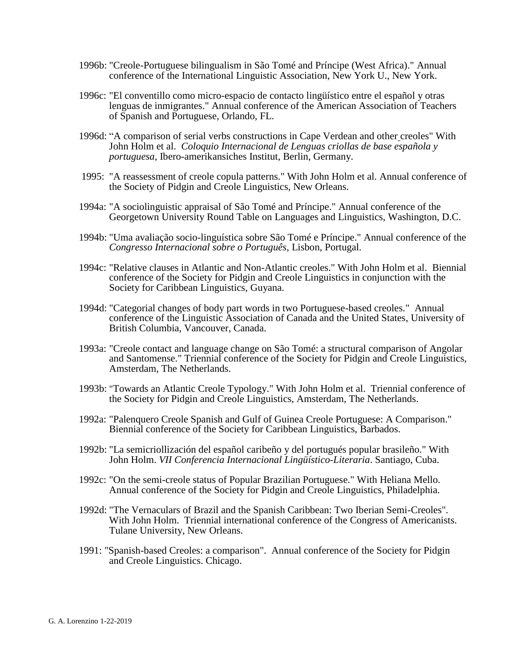- 1996b: "Creole-Portuguese bilingualism in São Tomé and Príncipe (West Africa)." Annual conference of the International Linguistic Association, New York U., New York.
- 1996c: "El conventillo como micro-espacio de contacto lingüístico entre el español y otras lenguas de inmigrantes." Annual conference of the American Association of Teachers of Spanish and Portuguese, Orlando, FL.
- 1996d: "A comparison of serial verbs constructions in Cape Verdean and other creoles" With John Holm et al. *Coloquio Internacional de Lenguas criollas de base española y portuguesa*, Ibero-amerikansiches Institut*,* Berlin, Germany.
- 1995: "A reassessment of creole copula patterns." With John Holm et al. Annual conference of the Society of Pidgin and Creole Linguistics, New Orleans.
- 1994a: "A sociolinguistic appraisal of São Tomé and Príncipe." Annual conference of the Georgetown University Round Table on Languages and Linguistics, Washington, D.C.
- 1994b: "Uma avaliação socio-linguística sobre São Tomé e Príncipe." Annual conference of the *Congresso Internacional sobre o Português*, Lisbon, Portugal.
- 1994c: "Relative clauses in Atlantic and Non-Atlantic creoles." With John Holm et al. Biennial conference of the Society for Pidgin and Creole Linguistics in conjunction with the Society for Caribbean Linguistics, Guyana.
- 1994d: "Categorial changes of body part words in two Portuguese-based creoles." Annual conference of the Linguistic Association of Canada and the United States, University of British Columbia, Vancouver, Canada.
- 1993a: "Creole contact and language change on São Tomé: a structural comparison of Angolar and Santomense." Triennial conference of the Society for Pidgin and Creole Linguistics, Amsterdam, The Netherlands.
- 1993b: "Towards an Atlantic Creole Typology." With John Holm et al. Triennial conference of the Society for Pidgin and Creole Linguistics, Amsterdam, The Netherlands.
- 1992a: "Palenquero Creole Spanish and Gulf of Guinea Creole Portuguese: A Comparison." Biennial conference of the Society for Caribbean Linguistics, Barbados.
- 1992b: "La semicriollización del español caribeño y del portugués popular brasileño." With John Holm. *VII Conferencia Internacional Lingüístico-Literaria*. Santiago, Cuba.
- 1992c: "On the semi-creole status of Popular Brazilian Portuguese." With Heliana Mello. Annual conference of the Society for Pidgin and Creole Linguistics, Philadelphia.
- 1992d: "The Vernaculars of Brazil and the Spanish Caribbean: Two Iberian Semi-Creoles". With John Holm. Triennial international conference of the Congress of Americanists. Tulane University, New Orleans.
- 1991: "Spanish-based Creoles: a comparison". Annual conference of the Society for Pidgin and Creole Linguistics. Chicago.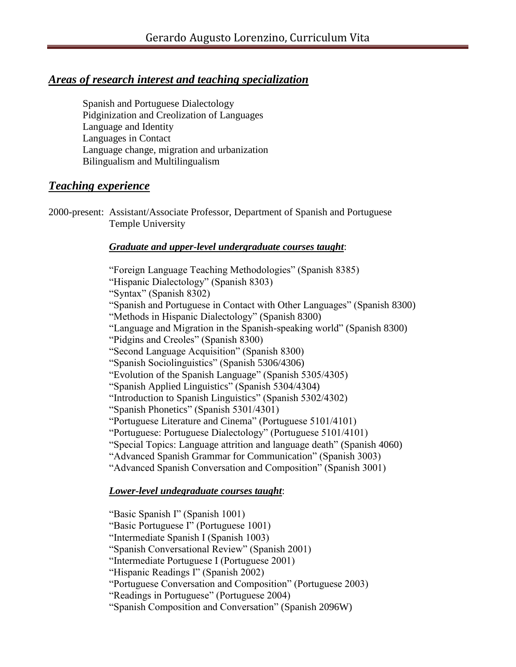# *Areas of research interest and teaching specialization*

Spanish and Portuguese Dialectology Pidginization and Creolization of Languages Language and Identity Languages in Contact Language change, migration and urbanization Bilingualism and Multilingualism

# *Teaching experience*

2000-present: Assistant/Associate Professor, Department of Spanish and Portuguese Temple University

## *Graduate and upper-level undergraduate courses taught*:

"Foreign Language Teaching Methodologies" (Spanish 8385) "Hispanic Dialectology" (Spanish 8303) "Syntax" (Spanish 8302) "Spanish and Portuguese in Contact with Other Languages" (Spanish 8300) "Methods in Hispanic Dialectology" (Spanish 8300) "Language and Migration in the Spanish-speaking world" (Spanish 8300) "Pidgins and Creoles" (Spanish 8300) "Second Language Acquisition" (Spanish 8300) "Spanish Sociolinguistics" (Spanish 5306/4306) "Evolution of the Spanish Language" (Spanish 5305/4305) "Spanish Applied Linguistics" (Spanish 5304/4304) "Introduction to Spanish Linguistics" (Spanish 5302/4302) "Spanish Phonetics" (Spanish 5301/4301) "Portuguese Literature and Cinema" (Portuguese 5101/4101) "Portuguese: Portuguese Dialectology" (Portuguese 5101/4101) "Special Topics: Language attrition and language death" (Spanish 4060) "Advanced Spanish Grammar for Communication" (Spanish 3003) "Advanced Spanish Conversation and Composition" (Spanish 3001)

# *Lower-level undegraduate courses taught*:

"Basic Spanish I" (Spanish 1001)

"Basic Portuguese I" (Portuguese 1001)

"Intermediate Spanish I (Spanish 1003)

"Spanish Conversational Review" (Spanish 2001)

"Intermediate Portuguese I (Portuguese 2001)

"Hispanic Readings I" (Spanish 2002)

"Portuguese Conversation and Composition" (Portuguese 2003)

"Readings in Portuguese" (Portuguese 2004)

"Spanish Composition and Conversation" (Spanish 2096W)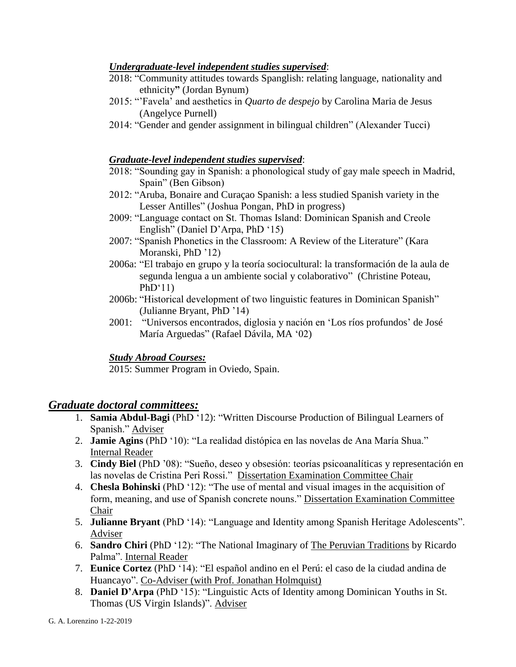### *Undergraduate-level independent studies supervised*:

- 2018: "Community attitudes towards Spanglish: relating language, nationality and ethnicity**"** (Jordan Bynum)
- 2015: "'Favela' and aesthetics in *Quarto de despejo* by Carolina Maria de Jesus (Angelyce Purnell)
- 2014: "Gender and gender assignment in bilingual children" (Alexander Tucci)

### *Graduate-level independent studies supervised*:

- 2018: "Sounding gay in Spanish: a phonological study of gay male speech in Madrid, Spain" (Ben Gibson)
- 2012: "Aruba, Bonaire and Curaçao Spanish: a less studied Spanish variety in the Lesser Antilles" (Joshua Pongan, PhD in progress)
- 2009: "Language contact on St. Thomas Island: Dominican Spanish and Creole English" (Daniel D'Arpa, PhD '15)
- 2007: "Spanish Phonetics in the Classroom: A Review of the Literature" (Kara Moranski, PhD '12)
- 2006a: "El trabajo en grupo y la teoría sociocultural: la transformación de la aula de segunda lengua a un ambiente social y colaborativo" (Christine Poteau,  $PhD'11)$
- 2006b: "Historical development of two linguistic features in Dominican Spanish" (Julianne Bryant, PhD '14)
- 2001: "Universos encontrados, diglosia y nación en 'Los ríos profundos' de José María Arguedas" (Rafael Dávila, MA '02)

## *Study Abroad Courses:*

2015: Summer Program in Oviedo, Spain.

## *Graduate doctoral committees:*

- 1. **Samia Abdul-Bagi** (PhD '12): "Written Discourse Production of Bilingual Learners of Spanish." Adviser
- 2. **Jamie Agins** (PhD '10): "La realidad distópica en las novelas de Ana María Shua." Internal Reader
- 3. **Cindy Biel** (PhD '08): "Sueño, deseo y obsesión: teorías psicoanalíticas y representación en las novelas de Cristina Peri Rossi." Dissertation Examination Committee Chair
- 4. **Chesla Bohinski** (PhD '12): "The use of mental and visual images in the acquisition of form, meaning, and use of Spanish concrete nouns." Dissertation Examination Committee Chair
- 5. **Julianne Bryant** (PhD '14): "Language and Identity among Spanish Heritage Adolescents". Adviser
- 6. **Sandro Chiri** (PhD '12): "The National Imaginary of The Peruvian Traditions by Ricardo Palma". Internal Reader
- 7. **Eunice Cortez** (PhD '14): "El español andino en el Perú: el caso de la ciudad andina de Huancayo". Co-Adviser (with Prof. Jonathan Holmquist)
- 8. **Daniel D'Arpa** (PhD '15): "Linguistic Acts of Identity among Dominican Youths in St. Thomas (US Virgin Islands)". Adviser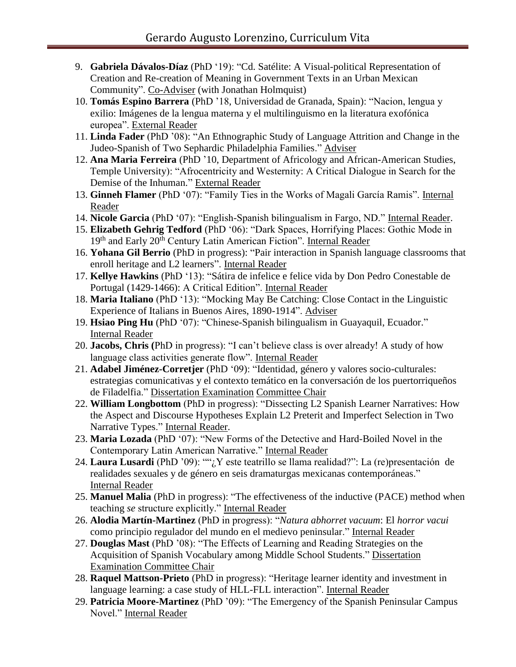- 9. **Gabriela Dávalos-Díaz** (PhD '19): "Cd. Satélite: A Visual-political Representation of Creation and Re-creation of Meaning in Government Texts in an Urban Mexican Community". Co-Adviser (with Jonathan Holmquist)
- 10. **Tomás Espino Barrera** (PhD '18, Universidad de Granada, Spain): "Nacion, lengua y exilio: Imágenes de la lengua materna y el multilinguismo en la literatura exofónica europea". External Reader
- 11. **Linda Fader** (PhD '08): "An Ethnographic Study of Language Attrition and Change in the Judeo-Spanish of Two Sephardic Philadelphia Families." Adviser
- 12. **Ana Maria Ferreira** (PhD '10, Department of Africology and African-American Studies, Temple University): "Afrocentricity and Westernity: A Critical Dialogue in Search for the Demise of the Inhuman." External Reader
- 13. **Ginneh Flamer** (PhD '07): "Family Ties in the Works of Magali García Ramis". Internal Reader
- 14. **Nicole Garcia** (PhD '07): "English-Spanish bilingualism in Fargo, ND." Internal Reader.
- 15. **Elizabeth Gehrig Tedford** (PhD '06): "Dark Spaces, Horrifying Places: Gothic Mode in 19<sup>th</sup> and Early 20<sup>th</sup> Century Latin American Fiction". Internal Reader
- 16. **Yohana Gil Berrio** (PhD in progress): "Pair interaction in Spanish language classrooms that enroll heritage and L2 learners". Internal Reader
- 17. **Kellye Hawkins** (PhD '13): "Sátira de infelice e felice vida by Don Pedro Conestable de Portugal (1429-1466): A Critical Edition". Internal Reader
- 18. **Maria Italiano** (PhD '13): "Mocking May Be Catching: Close Contact in the Linguistic Experience of Italians in Buenos Aires, 1890-1914". Adviser
- 19. **Hsiao Ping Hu** (PhD '07): "Chinese-Spanish bilingualism in Guayaquil, Ecuador." Internal Reader
- 20. **Jacobs, Chris (**PhD in progress): "I can't believe class is over already! A study of how language class activities generate flow". Internal Reader
- 21. **Adabel Jiménez-Corretjer** (PhD '09): "Identidad, género y valores socio-culturales: estrategias comunicativas y el contexto temático en la conversación de los puertorriqueños de Filadelfia." Dissertation Examination Committee Chair
- 22. **William Longbottom** (PhD in progress): "Dissecting L2 Spanish Learner Narratives: How the Aspect and Discourse Hypotheses Explain L2 Preterit and Imperfect Selection in Two Narrative Types." Internal Reader.
- 23. **Maria Lozada** (PhD '07): "New Forms of the Detective and Hard-Boiled Novel in the Contemporary Latin American Narrative." Internal Reader
- 24. **Laura Lusardi** (PhD '09): ""¿Y este teatrillo se llama realidad?": La (re)presentación de realidades sexuales y de género en seis dramaturgas mexicanas contemporáneas." Internal Reader
- 25. **Manuel Malia** (PhD in progress): "The effectiveness of the inductive (PACE) method when teaching *se* structure explicitly." Internal Reader
- 26. **Alodia Martín-Martinez** (PhD in progress): "*Natura abhorret vacuum*: El *horror vacui* como principio regulador del mundo en el medievo peninsular." Internal Reader
- 27. **Douglas Mast** (PhD '08): "The Effects of Learning and Reading Strategies on the Acquisition of Spanish Vocabulary among Middle School Students." Dissertation Examination Committee Chair
- 28. **Raquel Mattson-Prieto** (PhD in progress): "Heritage learner identity and investment in language learning: a case study of HLL-FLL interaction". Internal Reader
- 29. **Patricia Moore-Martinez** (PhD '09): "The Emergency of the Spanish Peninsular Campus Novel." Internal Reader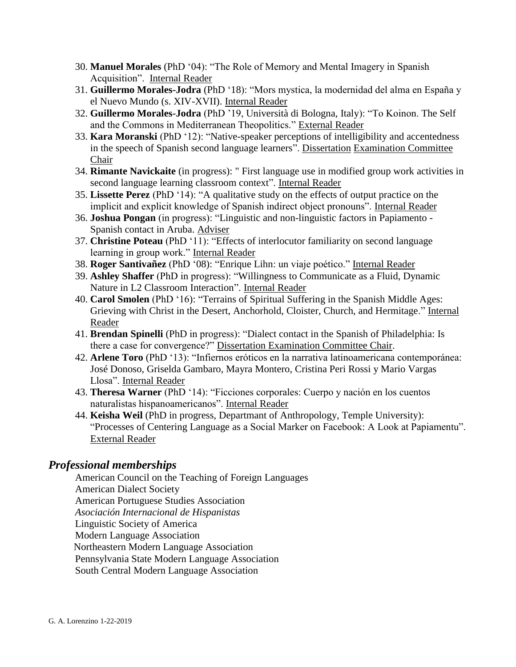- 30. **Manuel Morales** (PhD '04): "The Role of Memory and Mental Imagery in Spanish Acquisition". Internal Reader
- 31. **Guillermo Morales-Jodra** (PhD '18): "Mors mystica, la modernidad del alma en España y el Nuevo Mundo (s. XIV-XVII). Internal Reader
- 32. **Guillermo Morales-Jodra** (PhD '19, Università di Bologna, Italy): "To Koinon. The Self and the Commons in Mediterranean Theopolitics." External Reader
- 33. **Kara Moranski** (PhD '12): "Native-speaker perceptions of intelligibility and accentedness in the speech of Spanish second language learners". Dissertation Examination Committee Chair
- 34. **Rimante Navickaite** (in progress): " First language use in modified group work activities in second language learning classroom context". Internal Reader
- 35. **Lissette Perez** (PhD '14): "A qualitative study on the effects of output practice on the implicit and explicit knowledge of Spanish indirect object pronouns". Internal Reader
- 36. **Joshua Pongan** (in progress): "Linguistic and non-linguistic factors in Papiamento Spanish contact in Aruba. Adviser
- 37. **Christine Poteau** (PhD '11): "Effects of interlocutor familiarity on second language learning in group work." Internal Reader
- 38. **Roger Santivañez** (PhD '08): "Enrique Lihn: un viaje poético." Internal Reader
- 39. **Ashley Shaffer** (PhD in progress): "Willingness to Communicate as a Fluid, Dynamic Nature in L2 Classroom Interaction". Internal Reader
- 40. **Carol Smolen** (PhD '16): "Terrains of Spiritual Suffering in the Spanish Middle Ages: Grieving with Christ in the Desert, Anchorhold, Cloister, Church, and Hermitage." Internal Reader
- 41. **Brendan Spinelli** (PhD in progress): "Dialect contact in the Spanish of Philadelphia: Is there a case for convergence?" Dissertation Examination Committee Chair.
- 42. **Arlene Toro** (PhD '13): "Infiernos eróticos en la narrativa latinoamericana contemporánea: José Donoso, Griselda Gambaro, Mayra Montero, Cristina Peri Rossi y Mario Vargas Llosa". Internal Reader
- 43. **Theresa Warner** (PhD '14): "Ficciones corporales: Cuerpo y nación en los cuentos naturalistas hispanoamericanos". Internal Reader
- 44. **Keisha Weil** (PhD in progress, Departmant of Anthropology, Temple University): "Processes of Centering Language as a Social Marker on Facebook: A Look at Papiamentu". External Reader

## *Professional memberships*

American Council on the Teaching of Foreign Languages American Dialect Society American Portuguese Studies Association *Asociación Internacional de Hispanistas* Linguistic Society of America Modern Language Association Northeastern Modern Language Association Pennsylvania State Modern Language Association South Central Modern Language Association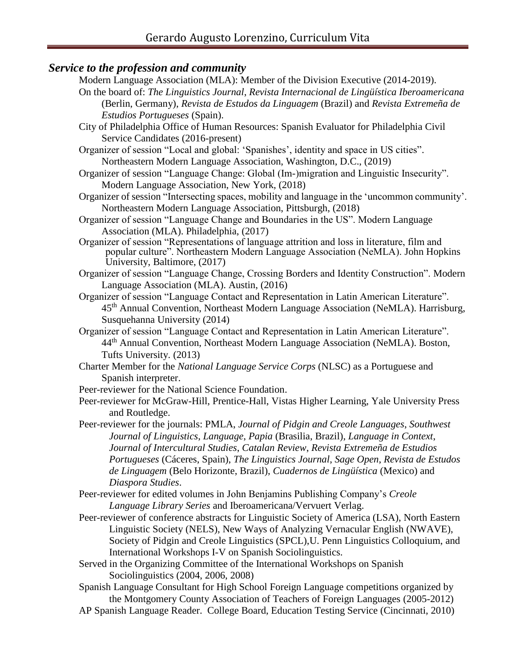## *Service to the profession and community*

Modern Language Association (MLA): Member of the Division Executive (2014-2019). On the board of: *The Linguistics Journal*, *Revista Internacional de Lingüística Iberoamericana* (Berlin, Germany), *Revista de Estudos da Linguagem* (Brazil) and *Revista Extremeña de Estudios Portugueses* (Spain). City of Philadelphia Office of Human Resources: Spanish Evaluator for Philadelphia Civil Service Candidates (2016-present) Organizer of session "Local and global: 'Spanishes', identity and space in US cities". Northeastern Modern Language Association, Washington, D.C., (2019) Organizer of session "Language Change: Global (Im-)migration and Linguistic Insecurity". Modern Language Association, New York, (2018) Organizer of session "Intersecting spaces, mobility and language in the 'uncommon community'. Northeastern Modern Language Association, Pittsburgh, (2018) Organizer of session "Language Change and Boundaries in the US". Modern Language Association (MLA). Philadelphia, (2017) Organizer of session "Representations of language attrition and loss in literature, film and popular culture". Northeastern Modern Language Association (NeMLA). John Hopkins University, Baltimore, (2017) Organizer of session "Language Change, Crossing Borders and Identity Construction". Modern Language Association (MLA). Austin, (2016) Organizer of session "Language Contact and Representation in Latin American Literature". 45th Annual Convention, Northeast Modern Language Association (NeMLA). Harrisburg, Susquehanna University (2014) Organizer of session "Language Contact and Representation in Latin American Literature". 44th Annual Convention, Northeast Modern Language Association (NeMLA). Boston, Tufts University. (2013) Charter Member for the *National Language Service Corps* (NLSC) as a Portuguese and Spanish interpreter. Peer-reviewer for the National Science Foundation. Peer-reviewer for McGraw-Hill, Prentice-Hall, Vistas Higher Learning, Yale University Press and Routledge. Peer-reviewer for the journals: PMLA, *Journal of Pidgin and Creole Languages*, *Southwest Journal of Linguistics*, *Language*, *Papia* (Brasilia, Brazil), *Language in Context*, *Journal of Intercultural Studies*, *Catalan Review*, *Revista Extremeña de Estudios Portugueses* (Cáceres, Spain), *The Linguistics Journal*, *Sage Open*, *Revista de Estudos de Linguagem* (Belo Horizonte, Brazil), *Cuadernos de Lingüística* (Mexico) and *Diaspora Studies*. Peer-reviewer for edited volumes in John Benjamins Publishing Company's *Creole Language Library Series* and Iberoamericana/Vervuert Verlag. Peer-reviewer of conference abstracts for Linguistic Society of America (LSA), North Eastern Linguistic Society (NELS), New Ways of Analyzing Vernacular English (NWAVE), Society of Pidgin and Creole Linguistics (SPCL),U. Penn Linguistics Colloquium, and International Workshops I-V on Spanish Sociolinguistics. Served in the Organizing Committee of the International Workshops on Spanish Sociolinguistics (2004, 2006, 2008) Spanish Language Consultant for High School Foreign Language competitions organized by the Montgomery County Association of Teachers of Foreign Languages (2005-2012) AP Spanish Language Reader. College Board, Education Testing Service (Cincinnati, 2010)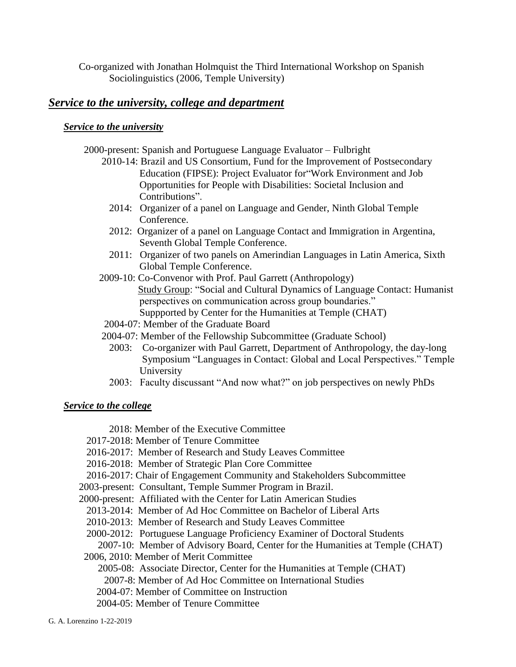Co-organized with Jonathan Holmquist the Third International Workshop on Spanish Sociolinguistics (2006, Temple University)

## *Service to the university, college and department*

#### *Service to the university*

2000-present: Spanish and Portuguese Language Evaluator – Fulbright

- 2010-14: Brazil and US Consortium, Fund for the Improvement of Postsecondary Education (FIPSE): Project Evaluator for"Work Environment and Job Opportunities for People with Disabilities: Societal Inclusion and Contributions".
	- 2014: Organizer of a panel on Language and Gender, Ninth Global Temple Conference.
	- 2012: Organizer of a panel on Language Contact and Immigration in Argentina, Seventh Global Temple Conference.
	- 2011: Organizer of two panels on Amerindian Languages in Latin America, Sixth Global Temple Conference.
- 2009-10: Co-Convenor with Prof. Paul Garrett (Anthropology) Study Group: "Social and Cultural Dynamics of Language Contact: Humanist perspectives on communication across group boundaries." Suppported by Center for the Humanities at Temple (CHAT)
- 2004-07: Member of the Graduate Board
- 2004-07: Member of the Fellowship Subcommittee (Graduate School)
	- 2003: Co-organizer with Paul Garrett, Department of Anthropology, the day-long Symposium "Languages in Contact: Global and Local Perspectives." Temple University
	- 2003: Faculty discussant "And now what?" on job perspectives on newly PhDs

#### *Service to the college*

2018: Member of the Executive Committee

- 2017-2018: Member of Tenure Committee
- 2016-2017: Member of Research and Study Leaves Committee
- 2016-2018: Member of Strategic Plan Core Committee
- 2016-2017: Chair of Engagement Community and Stakeholders Subcommittee
- 2003-present: Consultant, Temple Summer Program in Brazil.
- 2000-present: Affiliated with the Center for Latin American Studies
- 2013-2014: Member of Ad Hoc Committee on Bachelor of Liberal Arts
- 2010-2013: Member of Research and Study Leaves Committee
- 2000-2012: Portuguese Language Proficiency Examiner of Doctoral Students
	- 2007-10: Member of Advisory Board, Center for the Humanities at Temple (CHAT)
- 2006, 2010: Member of Merit Committee
	- 2005-08: Associate Director, Center for the Humanities at Temple (CHAT)
	- 2007-8: Member of Ad Hoc Committee on International Studies
	- 2004-07: Member of Committee on Instruction
	- 2004-05: Member of Tenure Committee